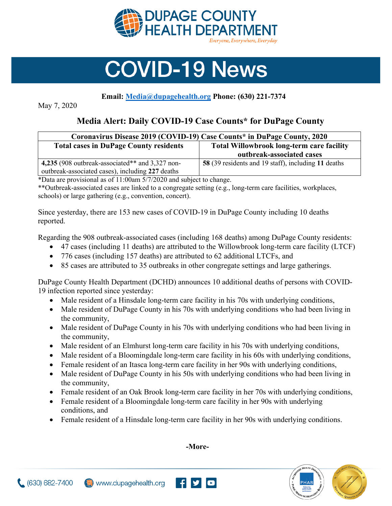

## **COVID-19 News**

## **Email: [Media@dupagehealth.org](mailto:Media@dupagehealth.org) Phone: (630) 221-7374**

May 7, 2020

## **Media Alert: Daily COVID-19 Case Counts\* for DuPage County**

| Coronavirus Disease 2019 (COVID-19) Case Counts* in DuPage County, 2020 |                                                     |
|-------------------------------------------------------------------------|-----------------------------------------------------|
| <b>Total cases in DuPage County residents</b>                           | <b>Total Willowbrook long-term care facility</b>    |
|                                                                         | outbreak-associated cases                           |
| 4,235 (908 outbreak-associated** and $3,327$ non-                       | 58 (39 residents and 19 staff), including 11 deaths |
| outbreak-associated cases), including 227 deaths                        |                                                     |

\*Data are provisional as of 11:00am 5/7/2020 and subject to change.

\*\*Outbreak-associated cases are linked to a congregate setting (e.g., long-term care facilities, workplaces, schools) or large gathering (e.g., convention, concert).

Since yesterday, there are 153 new cases of COVID-19 in DuPage County including 10 deaths reported.

Regarding the 908 outbreak-associated cases (including 168 deaths) among DuPage County residents:

- 47 cases (including 11 deaths) are attributed to the Willowbrook long-term care facility (LTCF)
- 776 cases (including 157 deaths) are attributed to 62 additional LTCFs, and
- 85 cases are attributed to 35 outbreaks in other congregate settings and large gatherings.

DuPage County Health Department (DCHD) announces 10 additional deaths of persons with COVID-19 infection reported since yesterday:

- Male resident of a Hinsdale long-term care facility in his 70s with underlying conditions,
- Male resident of DuPage County in his 70s with underlying conditions who had been living in the community,
- Male resident of DuPage County in his 70s with underlying conditions who had been living in the community,
- Male resident of an Elmhurst long-term care facility in his 70s with underlying conditions,
- Male resident of a Bloomingdale long-term care facility in his 60s with underlying conditions,
- Female resident of an Itasca long-term care facility in her 90s with underlying conditions,
- Male resident of DuPage County in his 50s with underlying conditions who had been living in the community,
- Female resident of an Oak Brook long-term care facility in her 70s with underlying conditions,
- Female resident of a Bloomingdale long-term care facility in her 90s with underlying conditions, and
- Female resident of a Hinsdale long-term care facility in her 90s with underlying conditions.

**-More-**